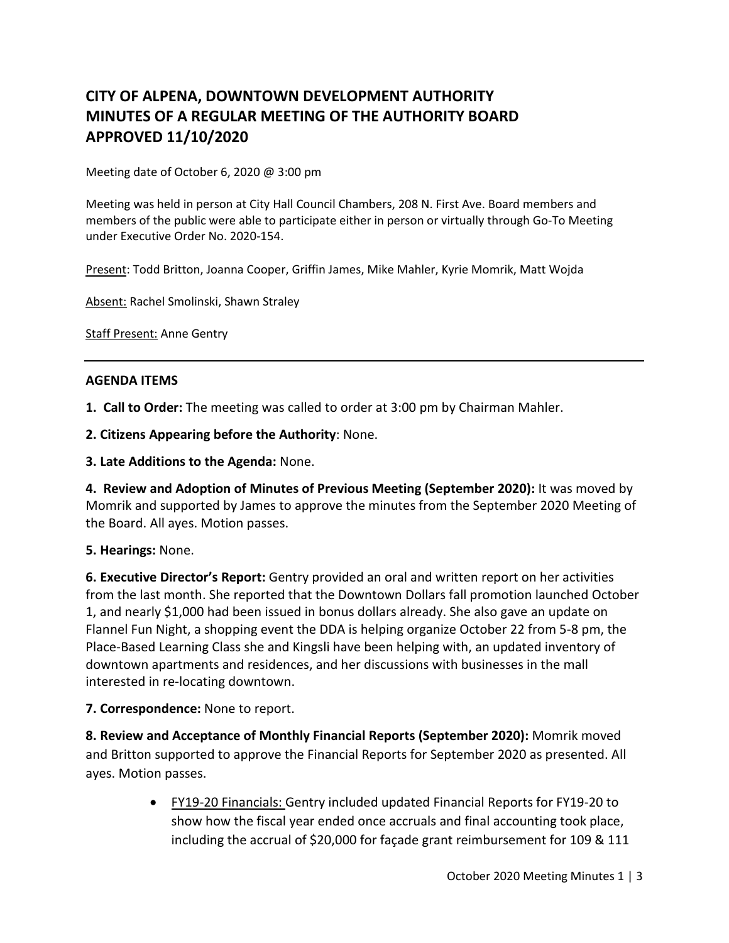# **CITY OF ALPENA, DOWNTOWN DEVELOPMENT AUTHORITY MINUTES OF A REGULAR MEETING OF THE AUTHORITY BOARD APPROVED 11/10/2020**

Meeting date of October 6, 2020 @ 3:00 pm

Meeting was held in person at City Hall Council Chambers, 208 N. First Ave. Board members and members of the public were able to participate either in person or virtually through Go-To Meeting under Executive Order No. 2020-154.

Present: Todd Britton, Joanna Cooper, Griffin James, Mike Mahler, Kyrie Momrik, Matt Wojda

Absent: Rachel Smolinski, Shawn Straley

Staff Present: Anne Gentry

#### **AGENDA ITEMS**

**1. Call to Order:** The meeting was called to order at 3:00 pm by Chairman Mahler.

**2. Citizens Appearing before the Authority**: None.

**3. Late Additions to the Agenda:** None.

**4. Review and Adoption of Minutes of Previous Meeting (September 2020):** It was moved by Momrik and supported by James to approve the minutes from the September 2020 Meeting of the Board. All ayes. Motion passes.

#### **5. Hearings:** None.

**6. Executive Director's Report:** Gentry provided an oral and written report on her activities from the last month. She reported that the Downtown Dollars fall promotion launched October 1, and nearly \$1,000 had been issued in bonus dollars already. She also gave an update on Flannel Fun Night, a shopping event the DDA is helping organize October 22 from 5-8 pm, the Place-Based Learning Class she and Kingsli have been helping with, an updated inventory of downtown apartments and residences, and her discussions with businesses in the mall interested in re-locating downtown.

**7. Correspondence:** None to report.

**8. Review and Acceptance of Monthly Financial Reports (September 2020):** Momrik moved and Britton supported to approve the Financial Reports for September 2020 as presented. All ayes. Motion passes.

> • FY19-20 Financials: Gentry included updated Financial Reports for FY19-20 to show how the fiscal year ended once accruals and final accounting took place, including the accrual of \$20,000 for façade grant reimbursement for 109 & 111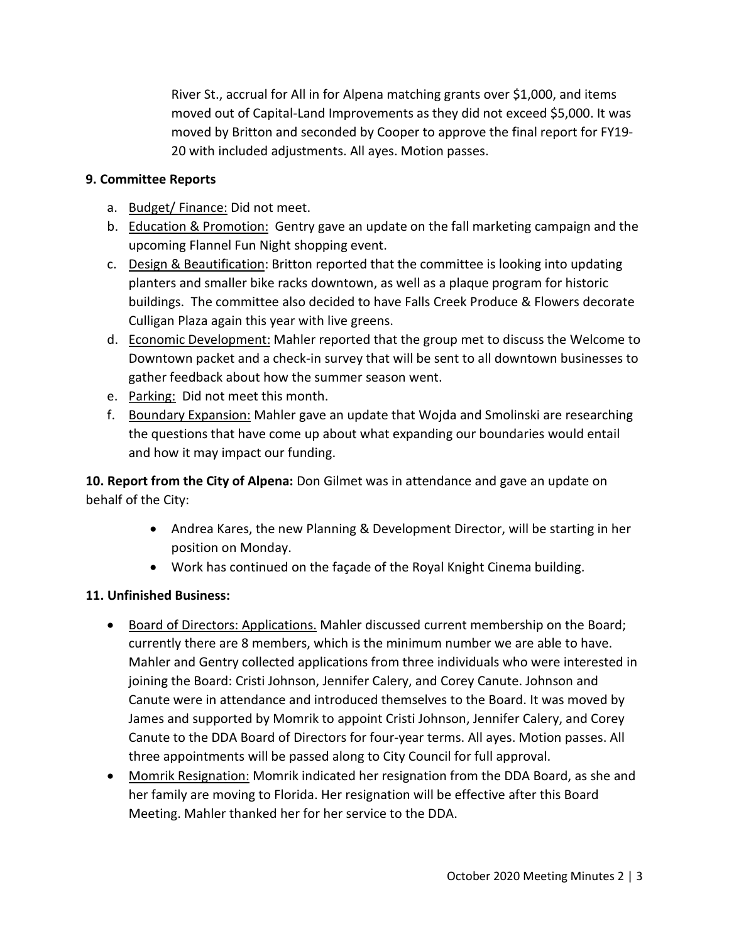River St., accrual for All in for Alpena matching grants over \$1,000, and items moved out of Capital-Land Improvements as they did not exceed \$5,000. It was moved by Britton and seconded by Cooper to approve the final report for FY19- 20 with included adjustments. All ayes. Motion passes.

### **9. Committee Reports**

- a. Budget/Finance: Did not meet.
- b. Education & Promotion: Gentry gave an update on the fall marketing campaign and the upcoming Flannel Fun Night shopping event.
- c. Design & Beautification: Britton reported that the committee is looking into updating planters and smaller bike racks downtown, as well as a plaque program for historic buildings. The committee also decided to have Falls Creek Produce & Flowers decorate Culligan Plaza again this year with live greens.
- d. Economic Development: Mahler reported that the group met to discuss the Welcome to Downtown packet and a check-in survey that will be sent to all downtown businesses to gather feedback about how the summer season went.
- e. Parking: Did not meet this month.
- f. Boundary Expansion: Mahler gave an update that Wojda and Smolinski are researching the questions that have come up about what expanding our boundaries would entail and how it may impact our funding.

**10. Report from the City of Alpena:** Don Gilmet was in attendance and gave an update on behalf of the City:

- Andrea Kares, the new Planning & Development Director, will be starting in her position on Monday.
- Work has continued on the façade of the Royal Knight Cinema building.

## **11. Unfinished Business:**

- Board of Directors: Applications. Mahler discussed current membership on the Board; currently there are 8 members, which is the minimum number we are able to have. Mahler and Gentry collected applications from three individuals who were interested in joining the Board: Cristi Johnson, Jennifer Calery, and Corey Canute. Johnson and Canute were in attendance and introduced themselves to the Board. It was moved by James and supported by Momrik to appoint Cristi Johnson, Jennifer Calery, and Corey Canute to the DDA Board of Directors for four-year terms. All ayes. Motion passes. All three appointments will be passed along to City Council for full approval.
- Momrik Resignation: Momrik indicated her resignation from the DDA Board, as she and her family are moving to Florida. Her resignation will be effective after this Board Meeting. Mahler thanked her for her service to the DDA.